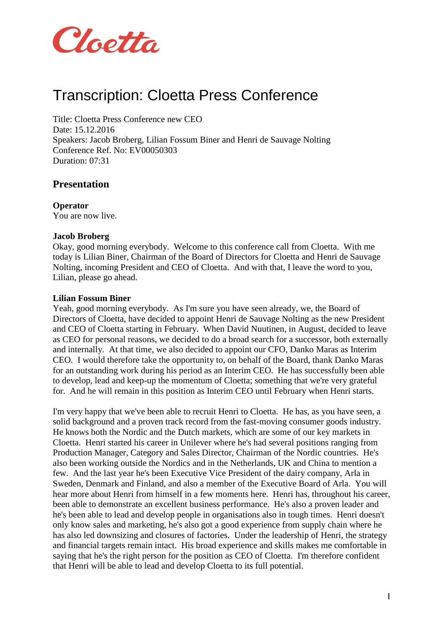

# Transcription: Cloetta Press Conference

Title: Cloetta Press Conference new CEO Date: 15.12.2016 Speakers: Jacob Broberg, Lilian Fossum Biner and Henri de Sauvage Nolting Conference Ref. No: EV00050303 Duration: 07:31

### **Presentation**

**Operator** You are now live.

#### **Jacob Broberg**

Okay, good morning everybody. Welcome to this conference call from Cloetta. With me today is Lilian Biner, Chairman of the Board of Directors for Cloetta and Henri de Sauvage Nolting, incoming President and CEO of Cloetta. And with that, I leave the word to you, Lilian, please go ahead.

#### **Lilian Fossum Biner**

Yeah, good morning everybody. As I'm sure you have seen already, we, the Board of Directors of Cloetta, have decided to appoint Henri de Sauvage Nolting as the new President and CEO of Cloetta starting in February. When David Nuutinen, in August, decided to leave as CEO for personal reasons, we decided to do a broad search for a successor, both externally and internally. At that time, we also decided to appoint our CFO, Danko Maras as Interim CEO. I would therefore take the opportunity to, on behalf of the Board, thank Danko Maras for an outstanding work during his period as an Interim CEO. He has successfully been able to develop, lead and keep-up the momentum of Cloetta; something that we're very grateful for. And he will remain in this position as Interim CEO until February when Henri starts.

I'm very happy that we've been able to recruit Henri to Cloetta. He has, as you have seen, a solid background and a proven track record from the fast-moving consumer goods industry. He knows both the Nordic and the Dutch markets, which are some of our key markets in Cloetta. Henri started his career in Unilever where he's had several positions ranging from Production Manager, Category and Sales Director, Chairman of the Nordic countries. He's also been working outside the Nordics and in the Netherlands, UK and China to mention a few. And the last year he's been Executive Vice President of the dairy company, Arla in Sweden, Denmark and Finland, and also a member of the Executive Board of Arla. You will hear more about Henri from himself in a few moments here. Henri has, throughout his career, been able to demonstrate an excellent business performance. He's also a proven leader and he's been able to lead and develop people in organisations also in tough times. Henri doesn't only know sales and marketing, he's also got a good experience from supply chain where he has also led downsizing and closures of factories. Under the leadership of Henri, the strategy and financial targets remain intact. His broad experience and skills makes me comfortable in saying that he's the right person for the position as CEO of Cloetta. I'm therefore confident that Henri will be able to lead and develop Cloetta to its full potential.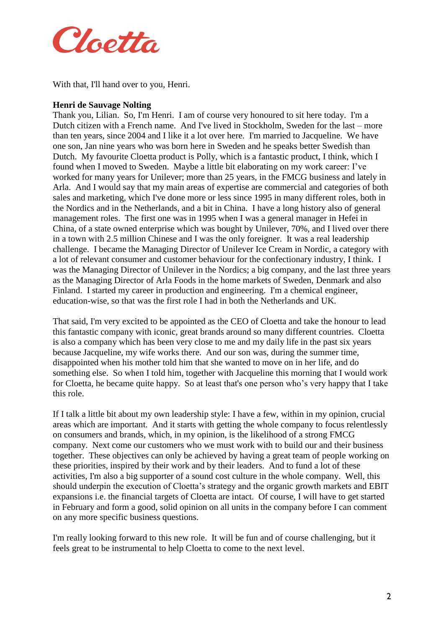

With that, I'll hand over to you, Henri.

#### **Henri de Sauvage Nolting**

Thank you, Lilian. So, I'm Henri. I am of course very honoured to sit here today. I'm a Dutch citizen with a French name. And I've lived in Stockholm, Sweden for the last – more than ten years, since 2004 and I like it a lot over here. I'm married to Jacqueline. We have one son, Jan nine years who was born here in Sweden and he speaks better Swedish than Dutch. My favourite Cloetta product is Polly, which is a fantastic product, I think, which I found when I moved to Sweden. Maybe a little bit elaborating on my work career: I've worked for many years for Unilever; more than 25 years, in the FMCG business and lately in Arla. And I would say that my main areas of expertise are commercial and categories of both sales and marketing, which I've done more or less since 1995 in many different roles, both in the Nordics and in the Netherlands, and a bit in China. I have a long history also of general management roles. The first one was in 1995 when I was a general manager in Hefei in China, of a state owned enterprise which was bought by Unilever, 70%, and I lived over there in a town with 2.5 million Chinese and I was the only foreigner. It was a real leadership challenge. I became the Managing Director of Unilever Ice Cream in Nordic, a category with a lot of relevant consumer and customer behaviour for the confectionary industry, I think. I was the Managing Director of Unilever in the Nordics; a big company, and the last three years as the Managing Director of Arla Foods in the home markets of Sweden, Denmark and also Finland. I started my career in production and engineering. I'm a chemical engineer, education-wise, so that was the first role I had in both the Netherlands and UK.

That said, I'm very excited to be appointed as the CEO of Cloetta and take the honour to lead this fantastic company with iconic, great brands around so many different countries. Cloetta is also a company which has been very close to me and my daily life in the past six years because Jacqueline, my wife works there. And our son was, during the summer time, disappointed when his mother told him that she wanted to move on in her life, and do something else. So when I told him, together with Jacqueline this morning that I would work for Cloetta, he became quite happy. So at least that's one person who's very happy that I take this role.

If I talk a little bit about my own leadership style: I have a few, within in my opinion, crucial areas which are important. And it starts with getting the whole company to focus relentlessly on consumers and brands, which, in my opinion, is the likelihood of a strong FMCG company. Next come our customers who we must work with to build our and their business together. These objectives can only be achieved by having a great team of people working on these priorities, inspired by their work and by their leaders. And to fund a lot of these activities, I'm also a big supporter of a sound cost culture in the whole company. Well, this should underpin the execution of Cloetta's strategy and the organic growth markets and EBIT expansions i.e. the financial targets of Cloetta are intact. Of course, I will have to get started in February and form a good, solid opinion on all units in the company before I can comment on any more specific business questions.

I'm really looking forward to this new role. It will be fun and of course challenging, but it feels great to be instrumental to help Cloetta to come to the next level.